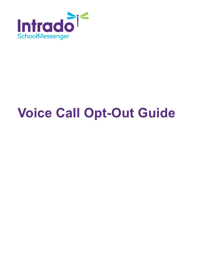

# **Voice Call Opt-Out Guide**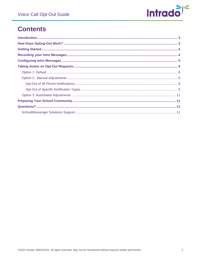

# **Contents**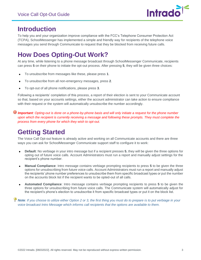

## <span id="page-2-0"></span>**Introduction**

To help you and your organization improve compliance with the FCC's Telephone Consumer Protection Act (TCPA), SchoolMessenger has implemented a simple and friendly way for recipients of the telephone voice messages you send through Communicate to request that they be blocked from receiving future calls.

## <span id="page-2-1"></span>**How Does Opting-Out Work?**

At any time, while listening to a phone message broadcast through SchoolMessenger Communicate, recipients can press **5** on their phone to initiate the opt-out process. After pressing **5**, they will be given three choices:

- To unsubscribe from messages like these, please press **1**.
- To unsubscribe from all non-emergency messages, press **2**.
- To opt-out of all phone notifications, please press **3**.  $\bullet$

Following a recipients' completion of this process, a report of their election is sent to your Communicate account so that, based on your accounts settings, either the account administrator can take action to ensure compliance with their request or the system will automatically unsubscribe the number accordingly.

*Important: Opting-out is done on a phone-by-phone basis and will only initiate a request for the phone number upon which the recipient is currently receiving a message and following these prompts. They must complete the process from every phone for which they wish to opt-out.* 

## <span id="page-2-2"></span>**Getting Started**

The Voice Call Opt-out feature is already active and working on all Communicate accounts and there are three ways you can ask for SchoolMessenger Communicate support staff to configure it to work:

- **Default**: No verbiage in your intro message but if a recipient presses **5**, they will be given the three options for opting out of future voice calls. Account Administrators must run a report and manually adjust settings for the recipient's phone number.
- **Manual Compliance**: Intro message contains verbiage prompting recipients to press **5** to be given the three options for unsubscribing from future voice calls. Account Administrators must run a report and manually adjust the recipients' phone number preferences to unsubscribe them from specific broadcast types or put the number on the accounts block list if the recipient wants to be opted-out of all calls.
- **Automated Compliance**: Intro message contains verbiage prompting recipients to press **5** to be given the three options for unsubscribing from future voice calls. The Communicate system will automatically adjust for the recipient's phone's election to unsubscribe it from specific broadcast types or put it on the block list.

*Note: If you choose to utilize either Option 2 or 3, the first thing you must do to prepare is to put verbiage in your voice broadcast Intro Message which informs call recipients that the options are available to them.*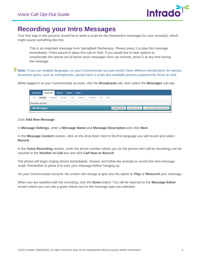

## <span id="page-3-0"></span>**Recording your Intro Messages**

Your first step in this process should be to write a script for the introduction messages for your school(s), which might sound something like this:

This is an important message from Springfield Elementary. Please press 1 to play this message immediately. Press pound to place this call on hold. If you would like to hear options to unsubscribe this phone out of future voice messages from our schools, press 5 at any time during the message.

*Note: If you use multiple languages on your Communicate account and/or have different introductions for various broadcast types, such as emergencies, please have a script and available persons prepared for those as well.* 

While logged in to your Communicate account, click the **Broadcasts** tab, then select the **Messages** sub-tab.

| <b>Dashboard</b> |          | <b>Broadcasts</b> | <b>Reports</b> | <b>System</b> | <b>Admin</b> |           |      |            |                 |                    |                                        |
|------------------|----------|-------------------|----------------|---------------|--------------|-----------|------|------------|-----------------|--------------------|----------------------------------------|
| Lists            | Messages | <b>Broadcasts</b> | Templates      | Posts         | Classroom    | Responses | Tips | <b>SDD</b> |                 |                    |                                        |
| Message Builder  |          |                   |                |               |              |           |      |            |                 |                    |                                        |
| My Messages      |          |                   |                |               |              |           |      |            | Add New Message | Add New Stationery | Subscribe to Msg/Stationery/Newsletter |

Click **Add New Message**.

In **Message Settings**, enter a **Message Name** and **Message Description** and click **Next**.

In the **Message Content** section, click on the drop-down next to the first language you will record and select **Record**.

In the **Voice Recording** section, enter the phone number where you (or the person who will be recording) can be reached in the **Number to Call** box and click **Call Now to Record**.

The phone will begin ringing almost immediately. Answer and follow the prompts to record the intro message script. Remember to press **1** to save your message before hanging up.

On your Communicate account, the screen will change to give you the option to **Play** or **Rerecord** your message.

When you are satisfied with the recording, click the **Done** button. You will be returned to the **Message Editor** screen where you can see a green check next to the message type you selected.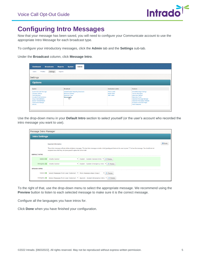

## <span id="page-4-0"></span>**Configuring Intro Messages**

Now that your message has been saved, you will need to configure your Communicate account to use the appropriate Intro Message for each broadcast type.

To configure your introductory messages, click the **Admin** tab and the **Settings** sub-tab.

Under the **Broadcast** column, click **Message Intro**.

| Settings<br>Profiles<br><b>Users</b>                                                                                                               | Imports                                             |                                          |                                                            |
|----------------------------------------------------------------------------------------------------------------------------------------------------|-----------------------------------------------------|------------------------------------------|------------------------------------------------------------|
| Settings                                                                                                                                           |                                                     |                                          |                                                            |
|                                                                                                                                                    |                                                     |                                          |                                                            |
| <b>Options</b>                                                                                                                                     |                                                     |                                          |                                                            |
|                                                                                                                                                    |                                                     |                                          |                                                            |
| System                                                                                                                                             | <b>Broadcast</b>                                    | <b>Destination Labels</b>                | <b>Features</b>                                            |
| Systemwide Alert Message                                                                                                                           | <b>Enable/Disable Repeating Broadcasts</b>          | <b>Phone Labels</b>                      | <b>SchoolMessenger Settings</b>                            |
| <b>Customer Settings</b><br><b>Field Definitions</b>                                                                                               | <b>Broadcast Settings</b><br><b>Broadcast Types</b> | <b>Email Labels</b><br><b>SMS Labels</b> | <b>Teacher Messaging</b><br><b>Subscriber Settings</b>     |
|                                                                                                                                                    |                                                     |                                          | <b>Subscriber Fields</b>                                   |
|                                                                                                                                                    | Message Intro<br>(                                  |                                          | Classroom Message Manager                                  |
|                                                                                                                                                    |                                                     |                                          | <b>Classroom Messaging Template</b>                        |
|                                                                                                                                                    |                                                     |                                          |                                                            |
| <b>Extended Field Definitions</b><br><b>Group Field Definitions</b><br><b>Section Field Definitions</b><br><b>Organization Manager</b><br>Security |                                                     |                                          | <b>Facebook Authorized Pages</b><br><b>Feed Categories</b> |

Use the drop-down menu in your **Default Intro** section to select yourself (or the user's account who recorded the intro message you want to use).

|                       | Message Intro Manager                                                                                                                                                                                                                                                                                                   |                                                                           |                                                      |  |  |  |  |  |
|-----------------------|-------------------------------------------------------------------------------------------------------------------------------------------------------------------------------------------------------------------------------------------------------------------------------------------------------------------------|---------------------------------------------------------------------------|------------------------------------------------------|--|--|--|--|--|
| <b>Intro Settings</b> |                                                                                                                                                                                                                                                                                                                         |                                                                           |                                                      |  |  |  |  |  |
|                       | <b>Important Information</b><br>These intro messages will play before all phone messages. The best intro messages contain a brief greeting and instructs the user to press "1" to hear the message. You should also let<br>recipients know that they can press pound to place the call on hold.<br><b>DEFAULT INTRO</b> |                                                                           |                                                      |  |  |  |  |  |
|                       |                                                                                                                                                                                                                                                                                                                         | General C Charlie Danner                                                  | ▼ English - System General Intro ▼ ▶ Preview         |  |  |  |  |  |
|                       |                                                                                                                                                                                                                                                                                                                         | Emergency C Charlie Danner                                                | ► English - System Emergency Intro<br><b>Preview</b> |  |  |  |  |  |
| <b>SPANISH INTRO</b>  |                                                                                                                                                                                                                                                                                                                         |                                                                           |                                                      |  |  |  |  |  |
|                       | General O                                                                                                                                                                                                                                                                                                               | Select Messages From User (Optional) v More message steps (Copy)          | v<br><b>Preview</b>                                  |  |  |  |  |  |
|                       | Emergency <sup>O</sup>                                                                                                                                                                                                                                                                                                  | Select Messages From User (Optional) ▶ Spanish - System Emergency Intro ▶ | <b>Preview</b>                                       |  |  |  |  |  |

To the right of that, use the drop-down menu to select the appropriate message. We recommend using the **Preview** button to listen to each selected message to make sure it is the correct message.

Configure all the languages you have intros for.

Click **Done** when you have finished your configuration.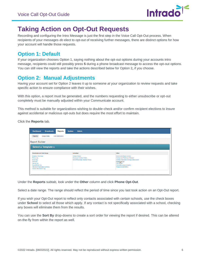

## <span id="page-5-0"></span>**Taking Action on Opt-Out Requests**

Recording and configuring the Intro Message is just the first step in the Voice Call Opt-Out process. When recipients of your messages *do* elect to opt-out of receiving further messages, there are distinct options for how your account will handle those requests.

### <span id="page-5-1"></span>**Option 1: Default**

If your organization chooses Option 1, saying nothing about the opt-out options during your accounts intro message, recipients could still possibly press **5** during a phone broadcast message to access the opt-out options. You can still view the reports and take the actions described below for Option 2**,** if you choose.

## <span id="page-5-2"></span>**Option 2: Manual Adjustments**

Having your account set for Option 2 leaves it up to someone *at* your organization to review requests and take specific action to ensure compliance with their wishes.

With this option, a report must be generated, and the numbers requesting to either unsubscribe or opt-out completely must be manually adjusted within your Communicate account.

This method is suitable for organizations wishing to double-check and/or confirm recipient elections to insure against accidental or malicious opt-outs but does require the most effort to maintain.

Click the **Reports** tab.

| <b>Dashboard</b><br><b>Broadcasts</b><br><b>Reports</b>                                                                                                                              | <b>Admin</b><br><b>System</b>                                                                         |                                                                                                                                                                                                                                    |  |  |  |  |  |  |  |
|--------------------------------------------------------------------------------------------------------------------------------------------------------------------------------------|-------------------------------------------------------------------------------------------------------|------------------------------------------------------------------------------------------------------------------------------------------------------------------------------------------------------------------------------------|--|--|--|--|--|--|--|
| Reports<br><b>Usage Stats</b><br><b>Call Distribution</b>                                                                                                                            |                                                                                                       |                                                                                                                                                                                                                                    |  |  |  |  |  |  |  |
| <b>Report Builder</b>                                                                                                                                                                |                                                                                                       |                                                                                                                                                                                                                                    |  |  |  |  |  |  |  |
| Select a Template o                                                                                                                                                                  |                                                                                                       |                                                                                                                                                                                                                                    |  |  |  |  |  |  |  |
| <b>Broadcasts and Date Range</b>                                                                                                                                                     | Individual                                                                                            | Other                                                                                                                                                                                                                              |  |  |  |  |  |  |  |
| <b>Broadcast Summary</b><br>Phone Log<br><b>Email Log</b><br><b>SMS Log</b><br>Device Log<br>Social Media Log<br><b>Classroom Messaging Summary</b><br><b>Hosted Attachments Log</b> | <b>Contact History</b><br><b>Classroom Contact History</b><br><b>SchoolMessenger Adoption History</b> | <b>Systemwide Report Archive</b><br><b>Contact and Preference Changes</b><br><b>Contact Information Changes (deprecated)</b><br>Phone <sub>r</sub> Opt-Out<br>SMS S_Jus<br>SchoolMessenger Adoption<br><b>Phone Consent Status</b> |  |  |  |  |  |  |  |
|                                                                                                                                                                                      |                                                                                                       |                                                                                                                                                                                                                                    |  |  |  |  |  |  |  |

Under the **Reports** subtab, look under the **Other** column and click **Phone Opt-Out**.

Select a date range. The range should reflect the period of time since you last took action on an Opt-Out report.

If you wish your Opt-Out report to reflect only contacts associated with certain schools, use the check boxes under **School** to select all those which apply. If any contact is not specifically associated with a school, checking any boxes will eliminate them from the results.

You can use the **Sort By** drop-downs to create a sort order for viewing the report if desired. This can be altered on-the-fly from within the report as well.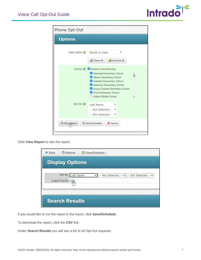

| Phone Opt-Out                              |                                                                                                                                                                                                                                               |  |  |  |  |  |
|--------------------------------------------|-----------------------------------------------------------------------------------------------------------------------------------------------------------------------------------------------------------------------------------------------|--|--|--|--|--|
| <b>Options</b>                             |                                                                                                                                                                                                                                               |  |  |  |  |  |
| Date Option <b>O</b>                       | Month to Date<br><b>R</b> Check All<br><b>B</b> Uncheck All                                                                                                                                                                                   |  |  |  |  |  |
|                                            | School & Restrict to the following:<br>Alameda Elementary School<br>Albany Elementary School<br>Anaheim Elementary School<br>Anderson Elementary School<br>Arroyo Grande Elementary School<br>Arvin Elementary School<br>Auburn Middle School |  |  |  |  |  |
| Sort By <b>O</b>                           | Last Name<br>-- Not Selected --<br>-- Not Selected --                                                                                                                                                                                         |  |  |  |  |  |
| <b><sup>⊘</sup> View<sub></sub> Report</b> | Save/Schedule<br>X Cancel                                                                                                                                                                                                                     |  |  |  |  |  |

Click **View Report** to see the report.

| <b>B</b> Refresh<br>† Back<br>Save/Schedule<br>$\odot$                                                            |  |  |  |  |  |  |  |
|-------------------------------------------------------------------------------------------------------------------|--|--|--|--|--|--|--|
| <b>Display Options</b>                                                                                            |  |  |  |  |  |  |  |
| Sort By: Last Name<br>-- Not Selected -- $\vee$   -- Not Selected -- $\vee$<br>$\checkmark$<br>Output Format: CSV |  |  |  |  |  |  |  |
|                                                                                                                   |  |  |  |  |  |  |  |
| <b>Search Results</b>                                                                                             |  |  |  |  |  |  |  |

If you would like to run the report in the future, click **Save/Schedule**.

To download the report, click the **CSV** link.

Under **Search Results** you will see a list of all Opt-Out requests.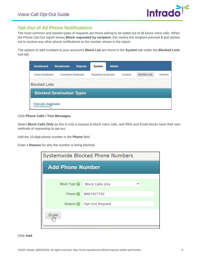

#### <span id="page-7-0"></span>**Opt-Out of All Phone Notifications**

The most common and easiest types of requests are those asking to be opted out of all future voice calls. When the Phone Opt-Out report shows **Block requested by recipient**, this means the recipient pressed **3** and wishes not to receive any other phone notifications to the number shown in the report.

The options to add numbers to your account's **Block List** are found in the **System** tab under the **Blocked Lists** sub-tab.

| <b>Dashboard</b>                               | <b>Broadcasts</b>                | <b>Reports</b> | <b>System</b>               | <b>Admin</b> |          |                      |                 |
|------------------------------------------------|----------------------------------|----------------|-----------------------------|--------------|----------|----------------------|-----------------|
| <b>Active Broadcasts</b>                       | <b>Completed Broadcasts</b>      |                | <b>Repeating Broadcasts</b> |              | Contacts | <b>Blocked Lists</b> | <b>Monitors</b> |
| <b>Blocked Lists</b>                           |                                  |                |                             |              |          |                      |                 |
|                                                | <b>Blocked Destination Types</b> |                |                             |              |          |                      |                 |
| Phone Calls / Text Messages<br>Email Addresses |                                  |                |                             |              |          |                      |                 |

Click **Phone Calls / Text Messages**.

Select **Block Calls Only** as this is only a request to block voice calls, and SMS and Email blocks have their own methods of requesting to opt-out.

Add the 10-digit phone number in the **Phone** field.

Enter a **Reason** for why the number is being blocked.

| Systemwide Blocked Phone Numbers |                            |  |  |  |  |  |  |
|----------------------------------|----------------------------|--|--|--|--|--|--|
| <b>Add Phone Number</b>          |                            |  |  |  |  |  |  |
|                                  |                            |  |  |  |  |  |  |
| Block Type <b>O</b>              | <b>Block Calls only</b>    |  |  |  |  |  |  |
| Phone $\odot$                    | 8887427702                 |  |  |  |  |  |  |
|                                  | Reason O   Opt-Out Request |  |  |  |  |  |  |
| Add                              |                            |  |  |  |  |  |  |

Click **Add**.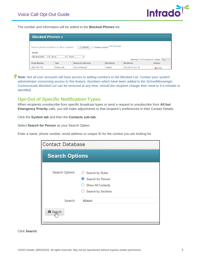

The number and information will be added to the **Blocked Phones** list.

| <b>Blocked Phones o</b>                                                                                                                                                    |                                                                                                       |  |  |                                      |               |  |  |  |  |
|----------------------------------------------------------------------------------------------------------------------------------------------------------------------------|-------------------------------------------------------------------------------------------------------|--|--|--------------------------------------|---------------|--|--|--|--|
| □ Display Contacts CSV Download<br>Search<br>Search phone numbers or block reasons<br>Sort By<br><b>Blocked Date</b><br>$\vee$ - None -<br>$\vee$ - None -<br>$\checkmark$ |                                                                                                       |  |  |                                      |               |  |  |  |  |
|                                                                                                                                                                            |                                                                                                       |  |  | Showing 1-3 of 3 records on 1 pages. | Page $1 \vee$ |  |  |  |  |
| <b>Phone Number</b>                                                                                                                                                        | <b>Actions</b><br><b>Reason for Blocking</b><br><b>Blocked on</b><br><b>Type</b><br><b>Blocked by</b> |  |  |                                      |               |  |  |  |  |
| (888) 742-7702                                                                                                                                                             | <b>Phone Calls</b><br>Opt-Out Request<br>Cdanner<br>2022-06-03 10:31:57<br>X Delete                   |  |  |                                      |               |  |  |  |  |

 $\bigoplus$  **Note**: Not all user accounts will have access to adding numbers to the Blocked List. Contact your system *administrator concerning access to this feature. Numbers which have been added to the SchoolMessenger Communicate Blocked List can be removed at any time, should the recipient change their mind or if a mistake is identified.*

#### <span id="page-8-0"></span>**Opt-Out of Specific Notification Types**

When recipients unsubscribe from specific broadcast types or send a request to unsubscribe from **All but Emergency Priority** calls, you will make adjustments to that recipient's preferences in their Contact Details.

Click the **System tab** and then the **Contacts sub-tab.** 

Select **Search for Person** as your Search Option

Enter a name, phone number, email address or unique ID for the contact you are looking for.

| <b>Contact Database</b>         |                                                |  |  |  |  |  |  |
|---------------------------------|------------------------------------------------|--|--|--|--|--|--|
| <b>Search Options</b>           |                                                |  |  |  |  |  |  |
| Search Options                  | Search by Rules<br>Search for Person           |  |  |  |  |  |  |
|                                 | <b>Show All Contacts</b><br>Search by Sections |  |  |  |  |  |  |
| Search<br><b>尚 Search</b><br>lm | Alison                                         |  |  |  |  |  |  |

Click **Search**.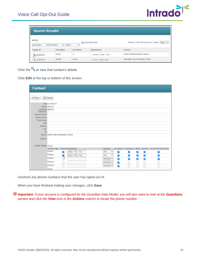

| <b>Search Results</b>                     |                   |                                                 |                                       |                                 |  |  |  |  |
|-------------------------------------------|-------------------|-------------------------------------------------|---------------------------------------|---------------------------------|--|--|--|--|
| Sort By<br>► First Name<br>Last Name      | $\vee$   - None - | Showing 1-26 of 26 records on 1 pages. Page 1 → |                                       |                                 |  |  |  |  |
| <b>Unique ID</b>                          | <b>First Name</b> | <b>Last Name</b>                                | <b>Destinations</b>                   | <b>School</b>                   |  |  |  |  |
| Alison<br>A<br>stu1053571<br>$\mathbb{F}$ |                   | 2 phones, 1 email, 1 sms                        | <b>Indian Wells Elementary School</b> |                                 |  |  |  |  |
| Q stu1079384                              | <b>Bishop</b>     | Alison                                          | 1 phone, 1 email, 0 sms               | Half Moon Bay Elementary School |  |  |  |  |

Click the  $\mathbb{Q}$  to view that contact's details.

Click **Edit** at the top or bottom of this screen.

| <b>Contact</b>                  |                                        |     |                             |  |                |              |                      |                      |                      |                      |                                                             |
|---------------------------------|----------------------------------------|-----|-----------------------------|--|----------------|--------------|----------------------|----------------------|----------------------|----------------------|-------------------------------------------------------------|
| $\mathcal S$ ave<br>X Cancel    |                                        |     |                             |  |                |              |                      |                      |                      |                      |                                                             |
|                                 | ID#: stu1053571                        |     |                             |  |                |              |                      |                      |                      |                      |                                                             |
|                                 | Name: Alison A                         |     |                             |  |                |              |                      |                      |                      |                      |                                                             |
| Language Spanish<br>Preference: |                                        |     |                             |  |                |              |                      |                      |                      |                      |                                                             |
| Second Phone:                   |                                        |     |                             |  |                |              |                      |                      |                      |                      |                                                             |
| Second Email:                   |                                        |     |                             |  |                |              |                      |                      |                      |                      |                                                             |
| Third Phone:                    |                                        |     |                             |  |                |              |                      |                      |                      |                      |                                                             |
| date:                           |                                        |     |                             |  |                |              |                      |                      |                      |                      |                                                             |
| baloney:                        |                                        |     |                             |  |                |              |                      |                      |                      |                      |                                                             |
| nine:                           |                                        |     |                             |  |                |              |                      |                      |                      |                      |                                                             |
| 10:                             |                                        |     |                             |  |                |              |                      |                      |                      |                      |                                                             |
|                                 | School: Indian Wells Elementary School |     |                             |  |                |              |                      |                      |                      |                      |                                                             |
| Address:                        |                                        |     |                             |  |                |              |                      |                      |                      |                      |                                                             |
| <b>Contact Details: Phone</b>   |                                        |     |                             |  |                |              |                      |                      |                      |                      |                                                             |
|                                 | Contact Type                           |     | <b>Override Destination</b> |  | Consent        |              |                      |                      |                      |                      | Emergency Attendance dtest2 General Test for Granular Unsub |
|                                 | Phone 1                                | ✓   | (888) 742-7702              |  | Yes            | $\checkmark$ | $\blacktriangledown$ | $\blacktriangledown$ | $\blacktriangledown$ | $\blacktriangledown$ | $\blacktriangledown$                                        |
|                                 | Phone 2                                | К   | $(555) 742 - 7702$          |  | Yes            | $\checkmark$ | $\blacktriangledown$ | ✓                    | ✔                    | $\blacktriangledown$ | ✓                                                           |
|                                 | Phone 3                                | 742 |                             |  | Pending $\vee$ |              | $\blacktriangledown$ | ✓                    | ✓                    | ✓                    | ✓                                                           |
|                                 | Phone 4                                | □   |                             |  | Pending $\vee$ |              | $\blacktriangledown$ | П                    | $\Box$               | 0                    | L                                                           |
|                                 | Phone 5                                |     |                             |  | Pending $\vee$ |              | $\blacktriangledown$ | г                    |                      |                      |                                                             |
|                                 | Email                                  |     |                             |  |                |              |                      |                      |                      |                      |                                                             |

Uncheck any phone numbers that the user has opted out of.

When you have finished making your changes, click **Save**.

⊕ *Important: If your account is configured for the Guardian Data Model, you will also want to look at the Guardians section and click the View icon in the Actions column to locate the phone number.*